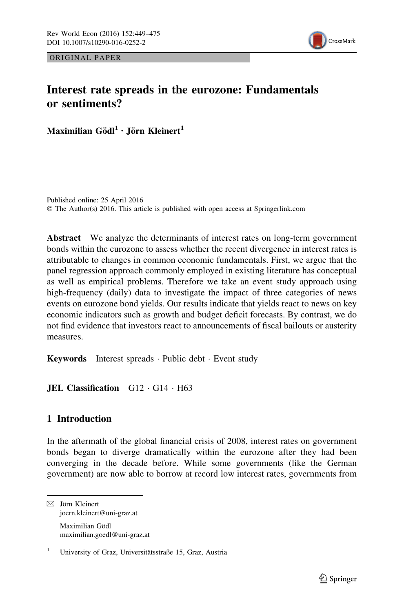



# Interest rate spreads in the eurozone: Fundamentals or sentiments?

Maximilian Gödl $1 \cdot$  Jörn Kleinert<sup>1</sup>

Published online: 25 April 2016 © The Author(s) 2016. This article is published with open access at Springerlink.com

Abstract We analyze the determinants of interest rates on long-term government bonds within the eurozone to assess whether the recent divergence in interest rates is attributable to changes in common economic fundamentals. First, we argue that the panel regression approach commonly employed in existing literature has conceptual as well as empirical problems. Therefore we take an event study approach using high-frequency (daily) data to investigate the impact of three categories of news events on eurozone bond yields. Our results indicate that yields react to news on key economic indicators such as growth and budget deficit forecasts. By contrast, we do not find evidence that investors react to announcements of fiscal bailouts or austerity measures.

Keywords Interest spreads · Public debt · Event study

**JEL Classification** G12 · G14 · H63

## 1 Introduction

In the aftermath of the global financial crisis of 2008, interest rates on government bonds began to diverge dramatically within the eurozone after they had been converging in the decade before. While some governments (like the German government) are now able to borrow at record low interest rates, governments from

 $\boxtimes$  Jörn Kleinert joern.kleinert@uni-graz.at Maximilian Gödl maximilian.goedl@uni-graz.at

<sup>&</sup>lt;sup>1</sup> University of Graz, Universitätsstraße 15, Graz, Austria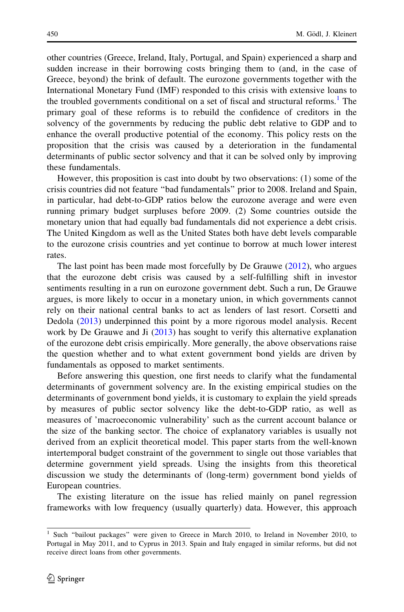other countries (Greece, Ireland, Italy, Portugal, and Spain) experienced a sharp and sudden increase in their borrowing costs bringing them to (and, in the case of Greece, beyond) the brink of default. The eurozone governments together with the International Monetary Fund (IMF) responded to this crisis with extensive loans to the troubled governments conditional on a set of fiscal and structural reforms.<sup>1</sup> The primary goal of these reforms is to rebuild the confidence of creditors in the solvency of the governments by reducing the public debt relative to GDP and to enhance the overall productive potential of the economy. This policy rests on the proposition that the crisis was caused by a deterioration in the fundamental determinants of public sector solvency and that it can be solved only by improving these fundamentals.

However, this proposition is cast into doubt by two observations: (1) some of the crisis countries did not feature ''bad fundamentals'' prior to 2008. Ireland and Spain, in particular, had debt-to-GDP ratios below the eurozone average and were even running primary budget surpluses before 2009. (2) Some countries outside the monetary union that had equally bad fundamentals did not experience a debt crisis. The United Kingdom as well as the United States both have debt levels comparable to the eurozone crisis countries and yet continue to borrow at much lower interest rates.

The last point has been made most forcefully by De Grauwe ([2012\)](#page-25-0), who argues that the eurozone debt crisis was caused by a self-fulfilling shift in investor sentiments resulting in a run on eurozone government debt. Such a run, De Grauwe argues, is more likely to occur in a monetary union, in which governments cannot rely on their national central banks to act as lenders of last resort. Corsetti and Dedola ([2013\)](#page-25-0) underpinned this point by a more rigorous model analysis. Recent work by De Grauwe and Ji [\(2013\)](#page-25-0) has sought to verify this alternative explanation of the eurozone debt crisis empirically. More generally, the above observations raise the question whether and to what extent government bond yields are driven by fundamentals as opposed to market sentiments.

Before answering this question, one first needs to clarify what the fundamental determinants of government solvency are. In the existing empirical studies on the determinants of government bond yields, it is customary to explain the yield spreads by measures of public sector solvency like the debt-to-GDP ratio, as well as measures of 'macroeconomic vulnerability' such as the current account balance or the size of the banking sector. The choice of explanatory variables is usually not derived from an explicit theoretical model. This paper starts from the well-known intertemporal budget constraint of the government to single out those variables that determine government yield spreads. Using the insights from this theoretical discussion we study the determinants of (long-term) government bond yields of European countries.

The existing literature on the issue has relied mainly on panel regression frameworks with low frequency (usually quarterly) data. However, this approach

<sup>&</sup>lt;sup>1</sup> Such "bailout packages" were given to Greece in March 2010, to Ireland in November 2010, to Portugal in May 2011, and to Cyprus in 2013. Spain and Italy engaged in similar reforms, but did not receive direct loans from other governments.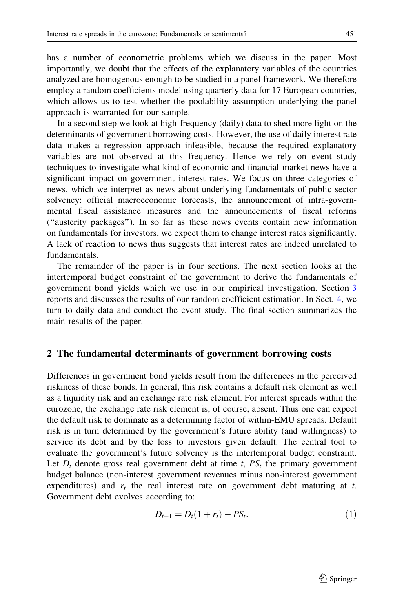<span id="page-2-0"></span>has a number of econometric problems which we discuss in the paper. Most importantly, we doubt that the effects of the explanatory variables of the countries analyzed are homogenous enough to be studied in a panel framework. We therefore employ a random coefficients model using quarterly data for 17 European countries, which allows us to test whether the poolability assumption underlying the panel approach is warranted for our sample.

In a second step we look at high-frequency (daily) data to shed more light on the determinants of government borrowing costs. However, the use of daily interest rate data makes a regression approach infeasible, because the required explanatory variables are not observed at this frequency. Hence we rely on event study techniques to investigate what kind of economic and financial market news have a significant impact on government interest rates. We focus on three categories of news, which we interpret as news about underlying fundamentals of public sector solvency: official macroeconomic forecasts, the announcement of intra-governmental fiscal assistance measures and the announcements of fiscal reforms (''austerity packages''). In so far as these news events contain new information on fundamentals for investors, we expect them to change interest rates significantly. A lack of reaction to news thus suggests that interest rates are indeed unrelated to fundamentals.

The remainder of the paper is in four sections. The next section looks at the intertemporal budget constraint of the government to derive the fundamentals of government bond yields which we use in our empirical investigation. Section [3](#page-5-0) reports and discusses the results of our random coefficient estimation. In Sect. [4,](#page-9-0) we turn to daily data and conduct the event study. The final section summarizes the main results of the paper.

## 2 The fundamental determinants of government borrowing costs

Differences in government bond yields result from the differences in the perceived riskiness of these bonds. In general, this risk contains a default risk element as well as a liquidity risk and an exchange rate risk element. For interest spreads within the eurozone, the exchange rate risk element is, of course, absent. Thus one can expect the default risk to dominate as a determining factor of within-EMU spreads. Default risk is in turn determined by the government's future ability (and willingness) to service its debt and by the loss to investors given default. The central tool to evaluate the government's future solvency is the intertemporal budget constraint. Let  $D_t$  denote gross real government debt at time t,  $PS_t$  the primary government budget balance (non-interest government revenues minus non-interest government expenditures) and  $r_t$  the real interest rate on government debt maturing at t. Government debt evolves according to:

$$
D_{t+1} = D_t(1 + r_t) - PS_t.
$$
 (1)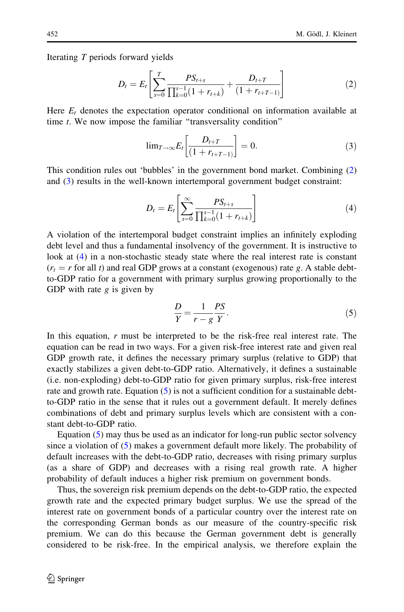Iterating T periods forward yields

$$
D_{t} = E_{t} \left[ \sum_{s=0}^{T} \frac{PS_{t+s}}{\prod_{k=0}^{s-1} (1 + r_{t+k})} + \frac{D_{t+T}}{(1 + r_{t+T-1})} \right]
$$
(2)

Here  $E_t$  denotes the expectation operator conditional on information available at time *t*. We now impose the familiar "transversality condition"

$$
\lim_{T \to \infty} E_t \left[ \frac{D_{t+T}}{(1 + r_{t+T-1})} \right] = 0. \tag{3}
$$

This condition rules out 'bubbles' in the government bond market. Combining (2) and (3) results in the well-known intertemporal government budget constraint:

$$
D_{t} = E_{t} \left[ \sum_{s=0}^{\infty} \frac{PS_{t+s}}{\prod_{k=0}^{s-1} (1 + r_{t+k})} \right]
$$
(4)

A violation of the intertemporal budget constraint implies an infinitely exploding debt level and thus a fundamental insolvency of the government. It is instructive to look at (4) in a non-stochastic steady state where the real interest rate is constant  $(r_t = r$  for all t) and real GDP grows at a constant (exogenous) rate g. A stable debtto-GDP ratio for a government with primary surplus growing proportionally to the GDP with rate  $g$  is given by

$$
\frac{D}{Y} = \frac{1}{r - g} \frac{PS}{Y}.
$$
\n<sup>(5)</sup>

In this equation,  $r$  must be interpreted to be the risk-free real interest rate. The equation can be read in two ways. For a given risk-free interest rate and given real GDP growth rate, it defines the necessary primary surplus (relative to GDP) that exactly stabilizes a given debt-to-GDP ratio. Alternatively, it defines a sustainable (i.e. non-exploding) debt-to-GDP ratio for given primary surplus, risk-free interest rate and growth rate. Equation  $(5)$  is not a sufficient condition for a sustainable debtto-GDP ratio in the sense that it rules out a government default. It merely defines combinations of debt and primary surplus levels which are consistent with a constant debt-to-GDP ratio.

Equation (5) may thus be used as an indicator for long-run public sector solvency since a violation of (5) makes a government default more likely. The probability of default increases with the debt-to-GDP ratio, decreases with rising primary surplus (as a share of GDP) and decreases with a rising real growth rate. A higher probability of default induces a higher risk premium on government bonds.

Thus, the sovereign risk premium depends on the debt-to-GDP ratio, the expected growth rate and the expected primary budget surplus. We use the spread of the interest rate on government bonds of a particular country over the interest rate on the corresponding German bonds as our measure of the country-specific risk premium. We can do this because the German government debt is generally considered to be risk-free. In the empirical analysis, we therefore explain the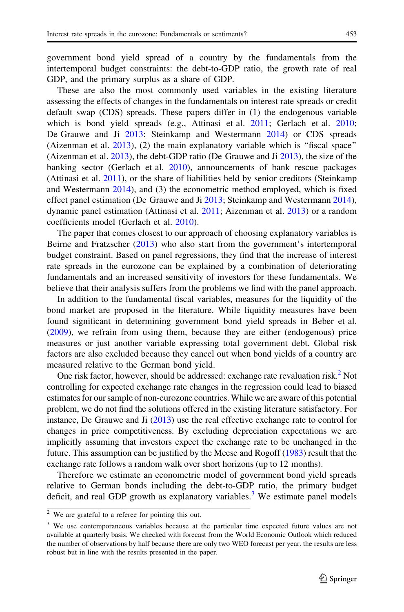government bond yield spread of a country by the fundamentals from the intertemporal budget constraints: the debt-to-GDP ratio, the growth rate of real GDP, and the primary surplus as a share of GDP.

These are also the most commonly used variables in the existing literature assessing the effects of changes in the fundamentals on interest rate spreads or credit default swap (CDS) spreads. These papers differ in (1) the endogenous variable which is bond yield spreads (e.g., Attinasi et al. [2011;](#page-25-0) Gerlach et al. [2010;](#page-26-0) De Grauwe and Ji [2013](#page-25-0); Steinkamp and Westermann [2014\)](#page-26-0) or CDS spreads (Aizenman et al. [2013\)](#page-25-0), (2) the main explanatory variable which is ''fiscal space'' (Aizenman et al.  $2013$ ), the debt-GDP ratio (De Grauwe and Ji  $2013$ ), the size of the banking sector (Gerlach et al. [2010\)](#page-26-0), announcements of bank rescue packages (Attinasi et al. [2011](#page-25-0)), or the share of liabilities held by senior creditors (Steinkamp and Westermann [2014\)](#page-26-0), and (3) the econometric method employed, which is fixed effect panel estimation (De Grauwe and Ji [2013](#page-25-0); Steinkamp and Westermann [2014\)](#page-26-0), dynamic panel estimation (Attinasi et al. [2011](#page-25-0); Aizenman et al. [2013\)](#page-25-0) or a random coefficients model (Gerlach et al. [2010\)](#page-26-0).

The paper that comes closest to our approach of choosing explanatory variables is Beirne and Fratzscher [\(2013](#page-25-0)) who also start from the government's intertemporal budget constraint. Based on panel regressions, they find that the increase of interest rate spreads in the eurozone can be explained by a combination of deteriorating fundamentals and an increased sensitivity of investors for these fundamentals. We believe that their analysis suffers from the problems we find with the panel approach.

In addition to the fundamental fiscal variables, measures for the liquidity of the bond market are proposed in the literature. While liquidity measures have been found significant in determining government bond yield spreads in Beber et al. [\(2009](#page-25-0)), we refrain from using them, because they are either (endogenous) price measures or just another variable expressing total government debt. Global risk factors are also excluded because they cancel out when bond yields of a country are measured relative to the German bond yield.

One risk factor, however, should be addressed: exchange rate revaluation risk. $<sup>2</sup>$  Not</sup> controlling for expected exchange rate changes in the regression could lead to biased estimates for our sample of non-eurozone countries.While we are aware of this potential problem, we do not find the solutions offered in the existing literature satisfactory. For instance, De Grauwe and Ji ([2013](#page-25-0)) use the real effective exchange rate to control for changes in price competitiveness. By excluding depreciation expectations we are implicitly assuming that investors expect the exchange rate to be unchanged in the future. This assumption can be justified by the Meese and Rogoff [\(1983\)](#page-26-0) result that the exchange rate follows a random walk over short horizons (up to 12 months).

Therefore we estimate an econometric model of government bond yield spreads relative to German bonds including the debt-to-GDP ratio, the primary budget deficit, and real GDP growth as explanatory variables.<sup>3</sup> We estimate panel models

<sup>2</sup> We are grateful to a referee for pointing this out.

<sup>&</sup>lt;sup>3</sup> We use contemporaneous variables because at the particular time expected future values are not available at quarterly basis. We checked with forecast from the World Economic Outlook which reduced the number of observations by half because there are only two WEO forecast per year. the results are less robust but in line with the results presented in the paper.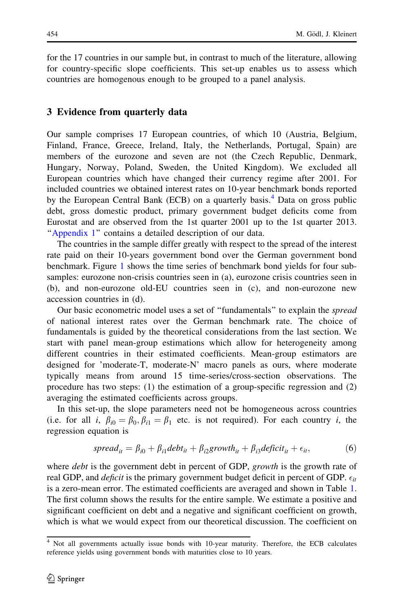<span id="page-5-0"></span>for the 17 countries in our sample but, in contrast to much of the literature, allowing for country-specific slope coefficients. This set-up enables us to assess which countries are homogenous enough to be grouped to a panel analysis.

## 3 Evidence from quarterly data

Our sample comprises 17 European countries, of which 10 (Austria, Belgium, Finland, France, Greece, Ireland, Italy, the Netherlands, Portugal, Spain) are members of the eurozone and seven are not (the Czech Republic, Denmark, Hungary, Norway, Poland, Sweden, the United Kingdom). We excluded all European countries which have changed their currency regime after 2001. For included countries we obtained interest rates on 10-year benchmark bonds reported by the European Central Bank (ECB) on a quarterly basis.<sup>4</sup> Data on gross public debt, gross domestic product, primary government budget deficits come from Eurostat and are observed from the 1st quarter 2001 up to the 1st quarter 2013. "[Appendix 1](#page-19-0)" contains a detailed description of our data.

The countries in the sample differ greatly with respect to the spread of the interest rate paid on their 10-years government bond over the German government bond benchmark. Figure [1](#page-6-0) shows the time series of benchmark bond yields for four subsamples: eurozone non-crisis countries seen in (a), eurozone crisis countries seen in (b), and non-eurozone old-EU countries seen in (c), and non-eurozone new accession countries in (d).

Our basic econometric model uses a set of "fundamentals" to explain the spread of national interest rates over the German benchmark rate. The choice of fundamentals is guided by the theoretical considerations from the last section. We start with panel mean-group estimations which allow for heterogeneity among different countries in their estimated coefficients. Mean-group estimators are designed for 'moderate-T, moderate-N' macro panels as ours, where moderate typically means from around 15 time-series/cross-section observations. The procedure has two steps: (1) the estimation of a group-specific regression and (2) averaging the estimated coefficients across groups.

In this set-up, the slope parameters need not be homogeneous across countries (i.e. for all i,  $\beta_{i0} = \beta_0$ ,  $\beta_{i1} = \beta_1$  etc. is not required). For each country i, the regression equation is

$$
spread_{it} = \beta_{i0} + \beta_{i1} debt_{it} + \beta_{i2} growth_{it} + \beta_{i3} deficit_{it} + \epsilon_{it},
$$
\n(6)

where *debt* is the government debt in percent of GDP, *growth* is the growth rate of real GDP, and *deficit* is the primary government budget deficit in percent of GDP.  $\epsilon_{it}$ is a zero-mean error. The estimated coefficients are averaged and shown in Table [1.](#page-7-0) The first column shows the results for the entire sample. We estimate a positive and significant coefficient on debt and a negative and significant coefficient on growth, which is what we would expect from our theoretical discussion. The coefficient on

<sup>4</sup> Not all governments actually issue bonds with 10-year maturity. Therefore, the ECB calculates reference yields using government bonds with maturities close to 10 years.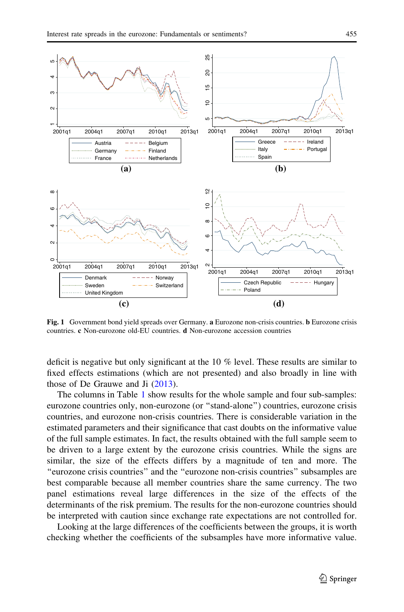<span id="page-6-0"></span>

Fig. 1 Government bond yield spreads over Germany. a Eurozone non-crisis countries. b Eurozone crisis countries. c Non-eurozone old-EU countries. d Non-eurozone accession countries

deficit is negative but only significant at the 10 % level. These results are similar to fixed effects estimations (which are not presented) and also broadly in line with those of De Grauwe and Ji [\(2013\)](#page-25-0).

The columns in Table [1](#page-7-0) show results for the whole sample and four sub-samples: eurozone countries only, non-eurozone (or ''stand-alone'') countries, eurozone crisis countries, and eurozone non-crisis countries. There is considerable variation in the estimated parameters and their significance that cast doubts on the informative value of the full sample estimates. In fact, the results obtained with the full sample seem to be driven to a large extent by the eurozone crisis countries. While the signs are similar, the size of the effects differs by a magnitude of ten and more. The ''eurozone crisis countries'' and the ''eurozone non-crisis countries'' subsamples are best comparable because all member countries share the same currency. The two panel estimations reveal large differences in the size of the effects of the determinants of the risk premium. The results for the non-eurozone countries should be interpreted with caution since exchange rate expectations are not controlled for.

Looking at the large differences of the coefficients between the groups, it is worth checking whether the coefficients of the subsamples have more informative value.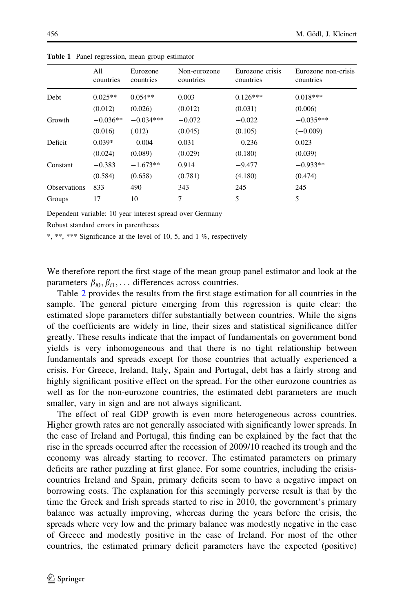|                     | All<br>countries | Eurozone<br>countries | Non-eurozone<br>countries | Eurozone crisis<br>countries | Eurozone non-crisis<br>countries |
|---------------------|------------------|-----------------------|---------------------------|------------------------------|----------------------------------|
| Debt                | $0.025**$        | $0.054**$             | 0.003                     | $0.126***$                   | $0.018***$                       |
|                     | (0.012)          | (0.026)               | (0.012)                   | (0.031)                      | (0.006)                          |
| Growth              | $-0.036**$       | $-0.034***$           | $-0.072$                  | $-0.022$                     | $-0.035***$                      |
|                     | (0.016)          | (.012)                | (0.045)                   | (0.105)                      | $(-0.009)$                       |
| Deficit             | $0.039*$         | $-0.004$              | 0.031                     | $-0.236$                     | 0.023                            |
|                     | (0.024)          | (0.089)               | (0.029)                   | (0.180)                      | (0.039)                          |
| Constant            | $-0.383$         | $-1.673**$            | 0.914                     | $-9.477$                     | $-0.933**$                       |
|                     | (0.584)          | (0.658)               | (0.781)                   | (4.180)                      | (0.474)                          |
| <b>Observations</b> | 833              | 490                   | 343                       | 245                          | 245                              |
| Groups              | 17               | 10                    | 7                         | 5                            | 5                                |

<span id="page-7-0"></span>Table 1 Panel regression, mean group estimator

Dependent variable: 10 year interest spread over Germany

Robust standard errors in parentheses

\*, \*\*, \*\*\* Significance at the level of 10, 5, and 1 %, respectively

We therefore report the first stage of the mean group panel estimator and look at the parameters  $\beta_{i0}, \beta_{i1}, \ldots$  differences across countries.

Table [2](#page-8-0) provides the results from the first stage estimation for all countries in the sample. The general picture emerging from this regression is quite clear: the estimated slope parameters differ substantially between countries. While the signs of the coefficients are widely in line, their sizes and statistical significance differ greatly. These results indicate that the impact of fundamentals on government bond yields is very inhomogeneous and that there is no tight relationship between fundamentals and spreads except for those countries that actually experienced a crisis. For Greece, Ireland, Italy, Spain and Portugal, debt has a fairly strong and highly significant positive effect on the spread. For the other eurozone countries as well as for the non-eurozone countries, the estimated debt parameters are much smaller, vary in sign and are not always significant.

The effect of real GDP growth is even more heterogeneous across countries. Higher growth rates are not generally associated with significantly lower spreads. In the case of Ireland and Portugal, this finding can be explained by the fact that the rise in the spreads occurred after the recession of 2009/10 reached its trough and the economy was already starting to recover. The estimated parameters on primary deficits are rather puzzling at first glance. For some countries, including the crisiscountries Ireland and Spain, primary deficits seem to have a negative impact on borrowing costs. The explanation for this seemingly perverse result is that by the time the Greek and Irish spreads started to rise in 2010, the government's primary balance was actually improving, whereas during the years before the crisis, the spreads where very low and the primary balance was modestly negative in the case of Greece and modestly positive in the case of Ireland. For most of the other countries, the estimated primary deficit parameters have the expected (positive)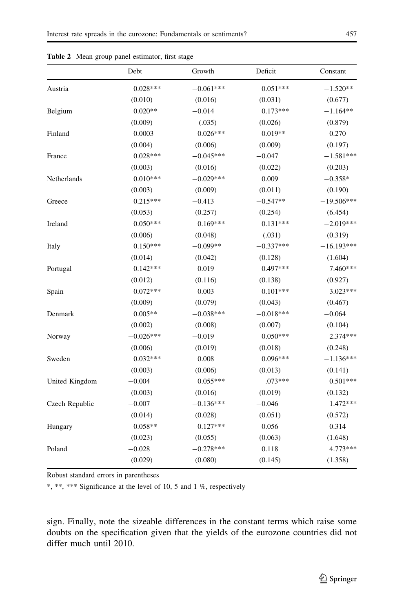|                | Debt        | Growth      | Deficit     | Constant     |
|----------------|-------------|-------------|-------------|--------------|
| Austria        | $0.028***$  | $-0.061***$ | $0.051***$  | $-1.520**$   |
|                | (0.010)     | (0.016)     | (0.031)     | (0.677)      |
| Belgium        | $0.020**$   | $-0.014$    | $0.173***$  | $-1.164**$   |
|                | (0.009)     | (.035)      | (0.026)     | (0.879)      |
| Finland        | 0.0003      | $-0.026***$ | $-0.019**$  | 0.270        |
|                | (0.004)     | (0.006)     | (0.009)     | (0.197)      |
| France         | $0.028***$  | $-0.045***$ | $-0.047$    | $-1.581***$  |
|                | (0.003)     | (0.016)     | (0.022)     | (0.203)      |
| Netherlands    | $0.010***$  | $-0.029***$ | 0.009       | $-0.358*$    |
|                | (0.003)     | (0.009)     | (0.011)     | (0.190)      |
| Greece         | $0.215***$  | $-0.413$    | $-0.547**$  | $-19.506***$ |
|                | (0.053)     | (0.257)     | (0.254)     | (6.454)      |
| Ireland        | $0.050***$  | $0.169***$  | $0.131***$  | $-2.019***$  |
|                | (0.006)     | (0.048)     | (.031)      | (0.319)      |
| Italy          | $0.150***$  | $-0.099**$  | $-0.337***$ | $-16.193***$ |
|                | (0.014)     | (0.042)     | (0.128)     | (1.604)      |
| Portugal       | $0.142***$  | $-0.019$    | $-0.497***$ | $-7.460***$  |
|                | (0.012)     | (0.116)     | (0.138)     | (0.927)      |
| Spain          | $0.072***$  | 0.003       | $0.101***$  | $-3.023***$  |
|                | (0.009)     | (0.079)     | (0.043)     | (0.467)      |
| Denmark        | $0.005**$   | $-0.038***$ | $-0.018***$ | $-0.064$     |
|                | (0.002)     | (0.008)     | (0.007)     | (0.104)      |
| Norway         | $-0.026***$ | $-0.019$    | $0.050***$  | 2.374***     |
|                | (0.006)     | (0.019)     | (0.018)     | (0.248)      |
| Sweden         | $0.032***$  | 0.008       | $0.096***$  | $-1.136***$  |
|                | (0.003)     | (0.006)     | (0.013)     | (0.141)      |
| United Kingdom | $-0.004$    | $0.055***$  | $.073***$   | $0.501***$   |
|                | (0.003)     | (0.016)     | (0.019)     | (0.132)      |
| Czech Republic | $-0.007$    | $-0.136***$ | $-0.046$    | 1.472***     |
|                | (0.014)     | (0.028)     | (0.051)     | (0.572)      |
| Hungary        | $0.058**$   | $-0.127***$ | $-0.056$    | 0.314        |
|                | (0.023)     | (0.055)     | (0.063)     | (1.648)      |
| Poland         | $-0.028$    | $-0.278***$ | 0.118       | $4.773***$   |
|                | (0.029)     | (0.080)     | (0.145)     | (1.358)      |

<span id="page-8-0"></span>Table 2 Mean group panel estimator, first stage

Robust standard errors in parentheses

\*, \*\*, \*\*\* Significance at the level of 10, 5 and 1 %, respectively

sign. Finally, note the sizeable differences in the constant terms which raise some doubts on the specification given that the yields of the eurozone countries did not differ much until 2010.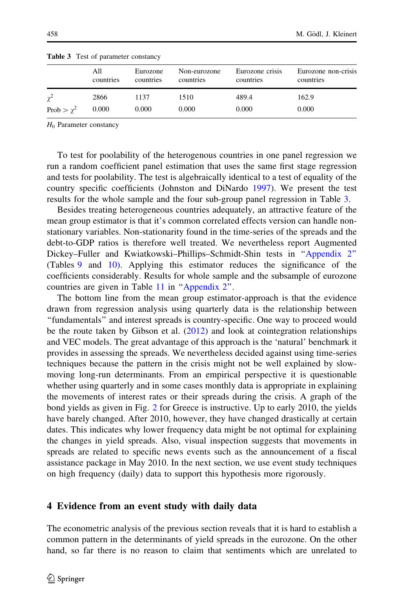|                 | <b>rapid <math>\sigma</math></b> rest of parameter constant $\gamma$ |                       |                           |                              |                                  |
|-----------------|----------------------------------------------------------------------|-----------------------|---------------------------|------------------------------|----------------------------------|
|                 | All<br>countries                                                     | Eurozone<br>countries | Non-eurozone<br>countries | Eurozone crisis<br>countries | Eurozone non-crisis<br>countries |
| $\chi^2$        | 2866                                                                 | 1137                  | 1510                      | 489.4                        | 162.9                            |
| Prob $> \chi^2$ | 0.000                                                                | 0.000                 | 0.000                     | 0.000                        | 0.000                            |

<span id="page-9-0"></span>Table 3 Test of parameter constancy

 $H_0$  Parameter constancy

To test for poolability of the heterogenous countries in one panel regression we run a random coefficient panel estimation that uses the same first stage regression and tests for poolability. The test is algebraically identical to a test of equality of the country specific coefficients (Johnston and DiNardo [1997\)](#page-26-0). We present the test results for the whole sample and the four sub-group panel regression in Table 3.

Besides treating heterogeneous countries adequately, an attractive feature of the mean group estimator is that it's common correlated effects version can handle nonstationary variables. Non-stationarity found in the time-series of the spreads and the debt-to-GDP ratios is therefore well treated. We nevertheless report Augmented Dickey–Fuller and Kwiatkowski–Phillips–Schmidt-Shin tests in ''[Appendix 2'](#page-20-0)' (Tables [9](#page-20-0) and [10](#page-21-0)). Applying this estimator reduces the significance of the coefficients considerably. Results for whole sample and the subsample of eurozone countries are given in Table [11](#page-22-0) in '['Appendix 2](#page-20-0)''.

The bottom line from the mean group estimator-approach is that the evidence drawn from regression analysis using quarterly data is the relationship between ''fundamentals'' and interest spreads is country-specific. One way to proceed would be the route taken by Gibson et al. [\(2012](#page-26-0)) and look at cointegration relationships and VEC models. The great advantage of this approach is the 'natural' benchmark it provides in assessing the spreads. We nevertheless decided against using time-series techniques because the pattern in the crisis might not be well explained by slowmoving long-run determinants. From an empirical perspective it is questionable whether using quarterly and in some cases monthly data is appropriate in explaining the movements of interest rates or their spreads during the crisis. A graph of the bond yields as given in Fig. [2](#page-10-0) for Greece is instructive. Up to early 2010, the yields have barely changed. After 2010, however, they have changed drastically at certain dates. This indicates why lower frequency data might be not optimal for explaining the changes in yield spreads. Also, visual inspection suggests that movements in spreads are related to specific news events such as the announcement of a fiscal assistance package in May 2010. In the next section, we use event study techniques on high frequency (daily) data to support this hypothesis more rigorously.

## 4 Evidence from an event study with daily data

The econometric analysis of the previous section reveals that it is hard to establish a common pattern in the determinants of yield spreads in the eurozone. On the other hand, so far there is no reason to claim that sentiments which are unrelated to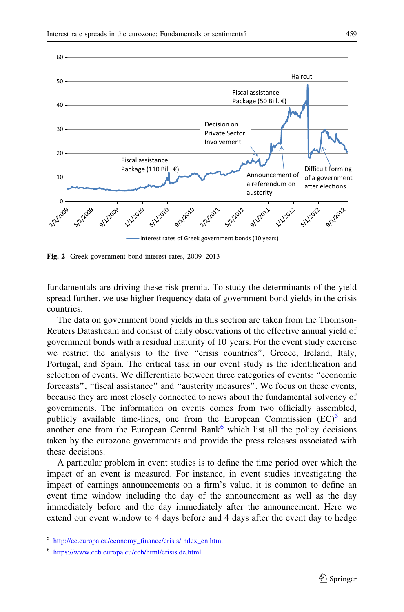<span id="page-10-0"></span>

Fig. 2 Greek government bond interest rates, 2009–2013

fundamentals are driving these risk premia. To study the determinants of the yield spread further, we use higher frequency data of government bond yields in the crisis countries.

The data on government bond yields in this section are taken from the Thomson-Reuters Datastream and consist of daily observations of the effective annual yield of government bonds with a residual maturity of 10 years. For the event study exercise we restrict the analysis to the five ''crisis countries'', Greece, Ireland, Italy, Portugal, and Spain. The critical task in our event study is the identification and selection of events. We differentiate between three categories of events: ''economic forecasts'', ''fiscal assistance'' and ''austerity measures''. We focus on these events, because they are most closely connected to news about the fundamental solvency of governments. The information on events comes from two officially assembled, publicly available time-lines, one from the European Commission  $(EC)^5$  and another one from the European Central Bank $<sup>6</sup>$  which list all the policy decisions</sup> taken by the eurozone governments and provide the press releases associated with these decisions.

A particular problem in event studies is to define the time period over which the impact of an event is measured. For instance, in event studies investigating the impact of earnings announcements on a firm's value, it is common to define an event time window including the day of the announcement as well as the day immediately before and the day immediately after the announcement. Here we extend our event window to 4 days before and 4 days after the event day to hedge

<sup>5</sup> [http://ec.europa.eu/economy\\_finance/crisis/index\\_en.htm.](http://ec.europa.eu/economy_finance/crisis/index_en.htm)

<sup>6</sup> <https://www.ecb.europa.eu/ecb/html/crisis.de.html>.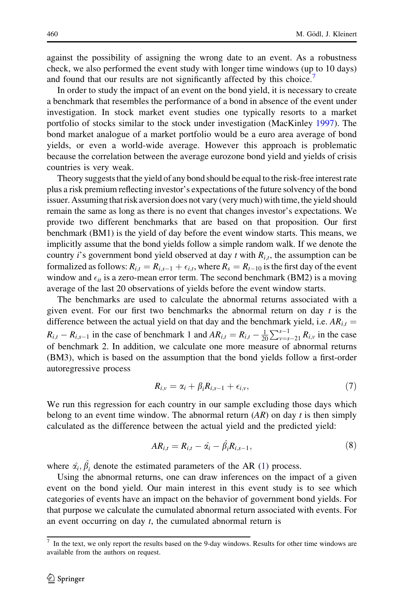against the possibility of assigning the wrong date to an event. As a robustness check, we also performed the event study with longer time windows (up to 10 days) and found that our results are not significantly affected by this choice.<sup>7</sup>

In order to study the impact of an event on the bond yield, it is necessary to create a benchmark that resembles the performance of a bond in absence of the event under investigation. In stock market event studies one typically resorts to a market portfolio of stocks similar to the stock under investigation (MacKinley [1997\)](#page-26-0). The bond market analogue of a market portfolio would be a euro area average of bond yields, or even a world-wide average. However this approach is problematic because the correlation between the average eurozone bond yield and yields of crisis countries is very weak.

Theory suggests that the yield of any bond should be equal to the risk-free interest rate plus a risk premium reflecting investor's expectations of the future solvency of the bond issuer. Assuming that risk aversion does not vary (very much) with time, the yield should remain the same as long as there is no event that changes investor's expectations. We provide two different benchmarks that are based on that proposition. Our first benchmark (BM1) is the yield of day before the event window starts. This means, we implicitly assume that the bond yields follow a simple random walk. If we denote the country *i*'s government bond yield observed at day *t* with  $R_{i,t}$ , the assumption can be formalized as follows:  $R_{i,t} = R_{i,s-1} + \epsilon_{i,t}$ , where  $R_s = R_{t-10}$  is the first day of the event window and  $\epsilon_{it}$  is a zero-mean error term. The second benchmark (BM2) is a moving average of the last 20 observations of yields before the event window starts.

The benchmarks are used to calculate the abnormal returns associated with a given event. For our first two benchmarks the abnormal return on day  $t$  is the difference between the actual yield on that day and the benchmark yield, i.e.  $AR_{i,t} =$  $R_{i,t} - R_{i,s-1}$  in the case of benchmark 1 and  $AR_{i,t} = R_{i,t} - \frac{1}{20}$  $\sum_{v=s-21}^{s-1} R_{i,v}$  in the case of benchmark 2. In addition, we calculate one more measure of abnormal returns (BM3), which is based on the assumption that the bond yields follow a first-order autoregressive process

$$
R_{i,v} = \alpha_i + \beta_i R_{i,s-1} + \epsilon_{i,v}, \qquad (7)
$$

We run this regression for each country in our sample excluding those days which belong to an event time window. The abnormal return  $(AR)$  on day t is then simply calculated as the difference between the actual yield and the predicted yield:

$$
AR_{i,t} = R_{i,t} - \hat{a}_i - \hat{\beta}_i R_{i,s-1},
$$
\n(8)

where  $\hat{\alpha_i}, \hat{\beta_i}$  denote the estimated parameters of the AR [\(1](#page-2-0)) process.

Using the abnormal returns, one can draw inferences on the impact of a given event on the bond yield. Our main interest in this event study is to see which categories of events have an impact on the behavior of government bond yields. For that purpose we calculate the cumulated abnormal return associated with events. For an event occurring on day  $t$ , the cumulated abnormal return is

<sup>7</sup> In the text, we only report the results based on the 9-day windows. Results for other time windows are available from the authors on request.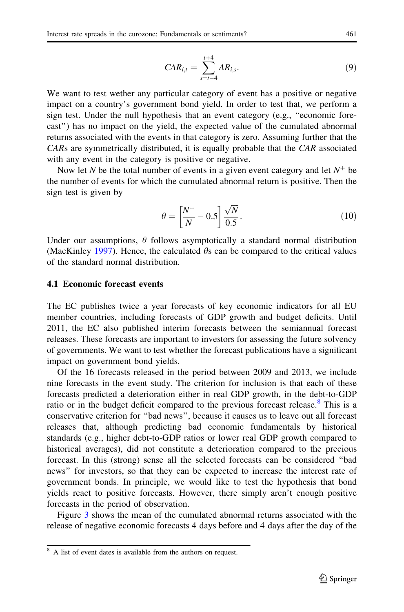$$
CAR_{i,t} = \sum_{s=t-4}^{t+4} AR_{i,s}.
$$
 (9)

We want to test wether any particular category of event has a positive or negative impact on a country's government bond yield. In order to test that, we perform a sign test. Under the null hypothesis that an event category (e.g., ''economic forecast'') has no impact on the yield, the expected value of the cumulated abnormal returns associated with the events in that category is zero. Assuming further that the CARs are symmetrically distributed, it is equally probable that the CAR associated with any event in the category is positive or negative.

Now let N be the total number of events in a given event category and let  $N^+$  be the number of events for which the cumulated abnormal return is positive. Then the sign test is given by

$$
\theta = \left[\frac{N^+}{N} - 0.5\right] \frac{\sqrt{N}}{0.5}.\tag{10}
$$

Under our assumptions,  $\theta$  follows asymptotically a standard normal distribution (MacKinley [1997](#page-26-0)). Hence, the calculated  $\theta$ s can be compared to the critical values of the standard normal distribution.

### 4.1 Economic forecast events

The EC publishes twice a year forecasts of key economic indicators for all EU member countries, including forecasts of GDP growth and budget deficits. Until 2011, the EC also published interim forecasts between the semiannual forecast releases. These forecasts are important to investors for assessing the future solvency of governments. We want to test whether the forecast publications have a significant impact on government bond yields.

Of the 16 forecasts released in the period between 2009 and 2013, we include nine forecasts in the event study. The criterion for inclusion is that each of these forecasts predicted a deterioration either in real GDP growth, in the debt-to-GDP ratio or in the budget deficit compared to the previous forecast release.<sup>8</sup> This is a conservative criterion for ''bad news'', because it causes us to leave out all forecast releases that, although predicting bad economic fundamentals by historical standards (e.g., higher debt-to-GDP ratios or lower real GDP growth compared to historical averages), did not constitute a deterioration compared to the precious forecast. In this (strong) sense all the selected forecasts can be considered ''bad news'' for investors, so that they can be expected to increase the interest rate of government bonds. In principle, we would like to test the hypothesis that bond yields react to positive forecasts. However, there simply aren't enough positive forecasts in the period of observation.

Figure [3](#page-13-0) shows the mean of the cumulated abnormal returns associated with the release of negative economic forecasts 4 days before and 4 days after the day of the

<sup>&</sup>lt;sup>8</sup> A list of event dates is available from the authors on request.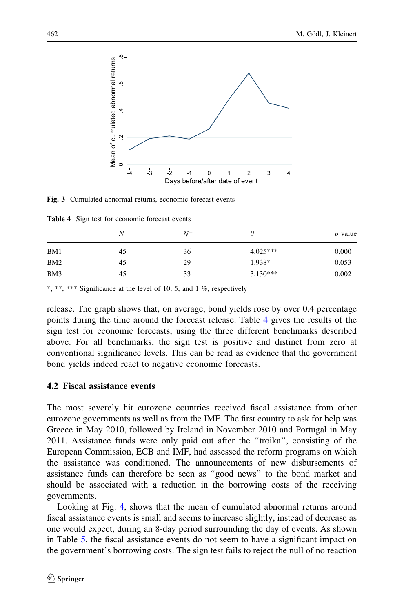<span id="page-13-0"></span>

Fig. 3 Cumulated abnormal returns, economic forecast events

Table 4 Sign test for economic forecast events

|                 | N  | $N^+$ |            | <i>p</i> value |
|-----------------|----|-------|------------|----------------|
| BM1             | 45 | 36    | $4.025***$ | 0.000          |
| BM <sub>2</sub> | 45 | 29    | 1.938*     | 0.053          |
| BM3             | 45 | 33    | $3.130***$ | 0.002          |

\*, \*\*, \*\*\* Significance at the level of 10, 5, and 1 %, respectively

release. The graph shows that, on average, bond yields rose by over 0.4 percentage points during the time around the forecast release. Table 4 gives the results of the sign test for economic forecasts, using the three different benchmarks described above. For all benchmarks, the sign test is positive and distinct from zero at conventional significance levels. This can be read as evidence that the government bond yields indeed react to negative economic forecasts.

## 4.2 Fiscal assistance events

The most severely hit eurozone countries received fiscal assistance from other eurozone governments as well as from the IMF. The first country to ask for help was Greece in May 2010, followed by Ireland in November 2010 and Portugal in May 2011. Assistance funds were only paid out after the ''troika'', consisting of the European Commission, ECB and IMF, had assessed the reform programs on which the assistance was conditioned. The announcements of new disbursements of assistance funds can therefore be seen as ''good news'' to the bond market and should be associated with a reduction in the borrowing costs of the receiving governments.

Looking at Fig. [4](#page-14-0), shows that the mean of cumulated abnormal returns around fiscal assistance events is small and seems to increase slightly, instead of decrease as one would expect, during an 8-day period surrounding the day of events. As shown in Table [5](#page-14-0), the fiscal assistance events do not seem to have a significant impact on the government's borrowing costs. The sign test fails to reject the null of no reaction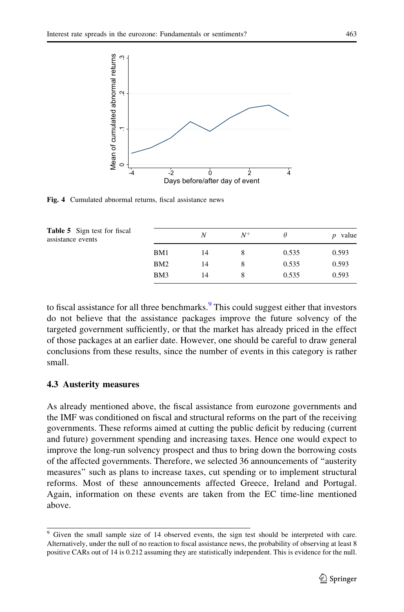<span id="page-14-0"></span>

Fig. 4 Cumulated abnormal returns, fiscal assistance news

| <b>Table 5</b> Sign test for fiscal<br>assistance events |     | N  | $N^+$ |       | value<br>n |
|----------------------------------------------------------|-----|----|-------|-------|------------|
|                                                          | BM1 | 14 |       | 0.535 | 0.593      |
|                                                          | BM2 | 14 |       | 0.535 | 0.593      |
|                                                          | BM3 | 14 |       | 0.535 | 0.593      |

to fiscal assistance for all three benchmarks. $9$  This could suggest either that investors do not believe that the assistance packages improve the future solvency of the targeted government sufficiently, or that the market has already priced in the effect of those packages at an earlier date. However, one should be careful to draw general conclusions from these results, since the number of events in this category is rather small.

## 4.3 Austerity measures

As already mentioned above, the fiscal assistance from eurozone governments and the IMF was conditioned on fiscal and structural reforms on the part of the receiving governments. These reforms aimed at cutting the public deficit by reducing (current and future) government spending and increasing taxes. Hence one would expect to improve the long-run solvency prospect and thus to bring down the borrowing costs of the affected governments. Therefore, we selected 36 announcements of ''austerity measures'' such as plans to increase taxes, cut spending or to implement structural reforms. Most of these announcements affected Greece, Ireland and Portugal. Again, information on these events are taken from the EC time-line mentioned above.

<sup>&</sup>lt;sup>9</sup> Given the small sample size of 14 observed events, the sign test should be interpreted with care. Alternatively, under the null of no reaction to fiscal assistance news, the probability of observing at least 8 positive CARs out of 14 is 0.212 assuming they are statistically independent. This is evidence for the null.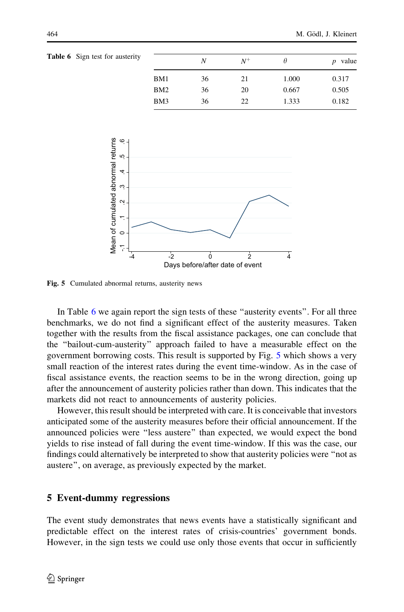| <b>Table 6</b> Sign test for austerity |                 | N  | $N^+$ | θ     | value<br>$\boldsymbol{D}$ |
|----------------------------------------|-----------------|----|-------|-------|---------------------------|
|                                        | BM1             | 36 | 21    | 1.000 | 0.317                     |
|                                        | BM <sub>2</sub> | 36 | 20    | 0.667 | 0.505                     |
|                                        | BM3             | 36 | 22    | 1.333 | 0.182                     |



Fig. 5 Cumulated abnormal returns, austerity news

In Table 6 we again report the sign tests of these "austerity events". For all three benchmarks, we do not find a significant effect of the austerity measures. Taken together with the results from the fiscal assistance packages, one can conclude that the ''bailout-cum-austerity'' approach failed to have a measurable effect on the government borrowing costs. This result is supported by Fig. 5 which shows a very small reaction of the interest rates during the event time-window. As in the case of fiscal assistance events, the reaction seems to be in the wrong direction, going up after the announcement of austerity policies rather than down. This indicates that the markets did not react to announcements of austerity policies.

However, this result should be interpreted with care. It is conceivable that investors anticipated some of the austerity measures before their official announcement. If the announced policies were ''less austere'' than expected, we would expect the bond yields to rise instead of fall during the event time-window. If this was the case, our findings could alternatively be interpreted to show that austerity policies were ''not as austere'', on average, as previously expected by the market.

## 5 Event-dummy regressions

The event study demonstrates that news events have a statistically significant and predictable effect on the interest rates of crisis-countries' government bonds. However, in the sign tests we could use only those events that occur in sufficiently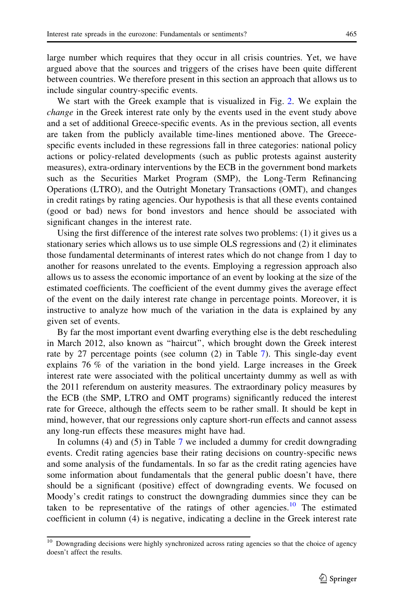large number which requires that they occur in all crisis countries. Yet, we have argued above that the sources and triggers of the crises have been quite different between countries. We therefore present in this section an approach that allows us to include singular country-specific events.

We start with the Greek example that is visualized in Fig. [2.](#page-10-0) We explain the change in the Greek interest rate only by the events used in the event study above and a set of additional Greece-specific events. As in the previous section, all events are taken from the publicly available time-lines mentioned above. The Greecespecific events included in these regressions fall in three categories: national policy actions or policy-related developments (such as public protests against austerity measures), extra-ordinary interventions by the ECB in the government bond markets such as the Securities Market Program (SMP), the Long-Term Refinancing Operations (LTRO), and the Outright Monetary Transactions (OMT), and changes in credit ratings by rating agencies. Our hypothesis is that all these events contained (good or bad) news for bond investors and hence should be associated with significant changes in the interest rate.

Using the first difference of the interest rate solves two problems: (1) it gives us a stationary series which allows us to use simple OLS regressions and (2) it eliminates those fundamental determinants of interest rates which do not change from 1 day to another for reasons unrelated to the events. Employing a regression approach also allows us to assess the economic importance of an event by looking at the size of the estimated coefficients. The coefficient of the event dummy gives the average effect of the event on the daily interest rate change in percentage points. Moreover, it is instructive to analyze how much of the variation in the data is explained by any given set of events.

By far the most important event dwarfing everything else is the debt rescheduling in March 2012, also known as ''haircut'', which brought down the Greek interest rate by 27 percentage points (see column (2) in Table [7\)](#page-17-0). This single-day event explains 76 % of the variation in the bond yield. Large increases in the Greek interest rate were associated with the political uncertainty dummy as well as with the 2011 referendum on austerity measures. The extraordinary policy measures by the ECB (the SMP, LTRO and OMT programs) significantly reduced the interest rate for Greece, although the effects seem to be rather small. It should be kept in mind, however, that our regressions only capture short-run effects and cannot assess any long-run effects these measures might have had.

In columns (4) and (5) in Table [7](#page-17-0) we included a dummy for credit downgrading events. Credit rating agencies base their rating decisions on country-specific news and some analysis of the fundamentals. In so far as the credit rating agencies have some information about fundamentals that the general public doesn't have, there should be a significant (positive) effect of downgrading events. We focused on Moody's credit ratings to construct the downgrading dummies since they can be taken to be representative of the ratings of other agencies.<sup>10</sup> The estimated coefficient in column (4) is negative, indicating a decline in the Greek interest rate

<sup>10</sup> Downgrading decisions were highly synchronized across rating agencies so that the choice of agency doesn't affect the results.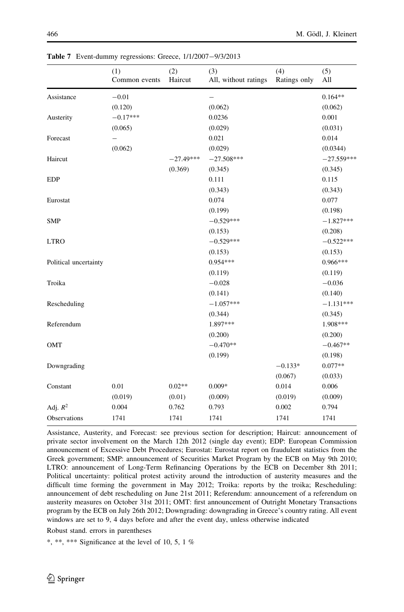|                       | (1)<br>Common events | (2)<br>Haircut | (3)<br>All, without ratings | (4)<br>Ratings only | (5)<br>All   |
|-----------------------|----------------------|----------------|-----------------------------|---------------------|--------------|
| Assistance            | $-0.01$              |                | -                           |                     | $0.164**$    |
|                       | (0.120)              |                | (0.062)                     |                     | (0.062)      |
| Austerity             | $-0.17***$           |                | 0.0236                      |                     | 0.001        |
|                       | (0.065)              |                | (0.029)                     |                     | (0.031)      |
| Forecast              | -                    |                | 0.021                       |                     | 0.014        |
|                       | (0.062)              |                | (0.029)                     |                     | (0.0344)     |
| Haircut               |                      | $-27.49***$    | $-27.508***$                |                     | $-27.559***$ |
|                       |                      | (0.369)        | (0.345)                     |                     | (0.345)      |
| <b>EDP</b>            |                      |                | 0.111                       |                     | 0.115        |
|                       |                      |                | (0.343)                     |                     | (0.343)      |
| Eurostat              |                      |                | 0.074                       |                     | 0.077        |
|                       |                      |                | (0.199)                     |                     | (0.198)      |
| <b>SMP</b>            |                      |                | $-0.529***$                 |                     | $-1.827***$  |
|                       |                      |                | (0.153)                     |                     | (0.208)      |
| <b>LTRO</b>           |                      |                | $-0.529***$                 |                     | $-0.522***$  |
|                       |                      |                | (0.153)                     |                     | (0.153)      |
| Political uncertainty |                      |                | $0.954***$                  |                     | $0.966***$   |
|                       |                      |                | (0.119)                     |                     | (0.119)      |
| Troika                |                      |                | $-0.028$                    |                     | $-0.036$     |
|                       |                      |                | (0.141)                     |                     | (0.140)      |
| Rescheduling          |                      |                | $-1.057***$                 |                     | $-1.131***$  |
|                       |                      |                | (0.344)                     |                     | (0.345)      |
| Referendum            |                      |                | 1.897***                    |                     | 1.908***     |
|                       |                      |                | (0.200)                     |                     | (0.200)      |
| OMT                   |                      |                | $-0.470**$                  |                     | $-0.467**$   |
|                       |                      |                | (0.199)                     |                     | (0.198)      |
| Downgrading           |                      |                |                             | $-0.133*$           | $0.077**$    |
|                       |                      |                |                             | (0.067)             | (0.033)      |
| Constant              | 0.01                 | $0.02**$       | $0.009*$                    | 0.014               | 0.006        |
|                       | (0.019)              | (0.01)         | (0.009)                     | (0.019)             | (0.009)      |
| Adj. $R^2$            | 0.004                | 0.762          | 0.793                       | 0.002               | 0.794        |
| Observations          | 1741                 | 1741           | 1741                        | 1741                | 1741         |

<span id="page-17-0"></span>Table 7 Event-dummy regressions: Greece, 1/1/2007-9/3/2013

Assistance, Austerity, and Forecast: see previous section for description; Haircut: announcement of private sector involvement on the March 12th 2012 (single day event); EDP: European Commission announcement of Excessive Debt Procedures; Eurostat: Eurostat report on fraudulent statistics from the Greek government; SMP: announcement of Securities Market Program by the ECB on May 9th 2010; LTRO: announcement of Long-Term Refinancing Operations by the ECB on December 8th 2011; Political uncertainty: political protest activity around the introduction of austerity measures and the difficult time forming the government in May 2012; Troika: reports by the troika; Rescheduling: announcement of debt rescheduling on June 21st 2011; Referendum: announcement of a referendum on austerity measures on October 31st 2011; OMT: first announcement of Outright Monetary Transactions program by the ECB on July 26th 2012; Downgrading: downgrading in Greece's country rating. All event windows are set to 9, 4 days before and after the event day, unless otherwise indicated

Robust stand. errors in parentheses

\*, \*\*, \*\*\* Significance at the level of 10, 5, 1 %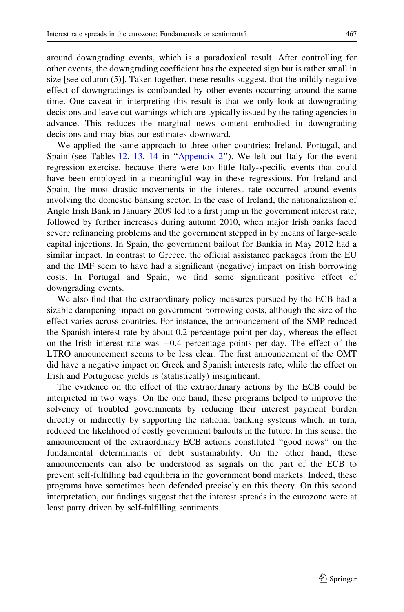around downgrading events, which is a paradoxical result. After controlling for other events, the downgrading coefficient has the expected sign but is rather small in size [see column (5)]. Taken together, these results suggest, that the mildly negative effect of downgradings is confounded by other events occurring around the same time. One caveat in interpreting this result is that we only look at downgrading decisions and leave out warnings which are typically issued by the rating agencies in advance. This reduces the marginal news content embodied in downgrading decisions and may bias our estimates downward.

We applied the same approach to three other countries: Ireland, Portugal, and Spain (see Tables [12,](#page-22-0) [13](#page-23-0), [14](#page-24-0) in "Appendix 2"). We left out Italy for the event regression exercise, because there were too little Italy-specific events that could have been employed in a meaningful way in these regressions. For Ireland and Spain, the most drastic movements in the interest rate occurred around events involving the domestic banking sector. In the case of Ireland, the nationalization of Anglo Irish Bank in January 2009 led to a first jump in the government interest rate, followed by further increases during autumn 2010, when major Irish banks faced severe refinancing problems and the government stepped in by means of large-scale capital injections. In Spain, the government bailout for Bankia in May 2012 had a similar impact. In contrast to Greece, the official assistance packages from the EU and the IMF seem to have had a significant (negative) impact on Irish borrowing costs. In Portugal and Spain, we find some significant positive effect of downgrading events.

We also find that the extraordinary policy measures pursued by the ECB had a sizable dampening impact on government borrowing costs, although the size of the effect varies across countries. For instance, the announcement of the SMP reduced the Spanish interest rate by about 0.2 percentage point per day, whereas the effect on the Irish interest rate was  $-0.4$  percentage points per day. The effect of the LTRO announcement seems to be less clear. The first announcement of the OMT did have a negative impact on Greek and Spanish interests rate, while the effect on Irish and Portuguese yields is (statistically) insignificant.

The evidence on the effect of the extraordinary actions by the ECB could be interpreted in two ways. On the one hand, these programs helped to improve the solvency of troubled governments by reducing their interest payment burden directly or indirectly by supporting the national banking systems which, in turn, reduced the likelihood of costly government bailouts in the future. In this sense, the announcement of the extraordinary ECB actions constituted ''good news'' on the fundamental determinants of debt sustainability. On the other hand, these announcements can also be understood as signals on the part of the ECB to prevent self-fulfilling bad equilibria in the government bond markets. Indeed, these programs have sometimes been defended precisely on this theory. On this second interpretation, our findings suggest that the interest spreads in the eurozone were at least party driven by self-fulfilling sentiments.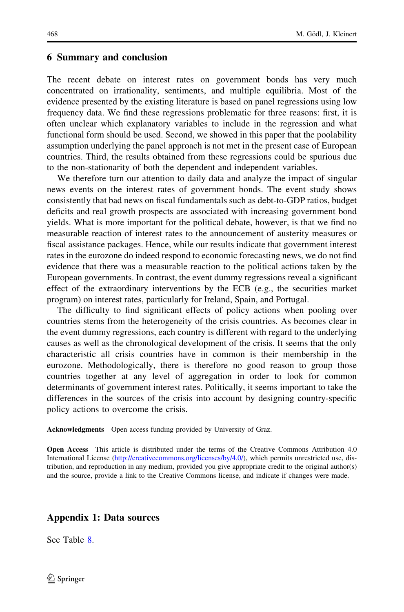## <span id="page-19-0"></span>6 Summary and conclusion

The recent debate on interest rates on government bonds has very much concentrated on irrationality, sentiments, and multiple equilibria. Most of the evidence presented by the existing literature is based on panel regressions using low frequency data. We find these regressions problematic for three reasons: first, it is often unclear which explanatory variables to include in the regression and what functional form should be used. Second, we showed in this paper that the poolability assumption underlying the panel approach is not met in the present case of European countries. Third, the results obtained from these regressions could be spurious due to the non-stationarity of both the dependent and independent variables.

We therefore turn our attention to daily data and analyze the impact of singular news events on the interest rates of government bonds. The event study shows consistently that bad news on fiscal fundamentals such as debt-to-GDP ratios, budget deficits and real growth prospects are associated with increasing government bond yields. What is more important for the political debate, however, is that we find no measurable reaction of interest rates to the announcement of austerity measures or fiscal assistance packages. Hence, while our results indicate that government interest rates in the eurozone do indeed respond to economic forecasting news, we do not find evidence that there was a measurable reaction to the political actions taken by the European governments. In contrast, the event dummy regressions reveal a significant effect of the extraordinary interventions by the ECB (e.g., the securities market program) on interest rates, particularly for Ireland, Spain, and Portugal.

The difficulty to find significant effects of policy actions when pooling over countries stems from the heterogeneity of the crisis countries. As becomes clear in the event dummy regressions, each country is different with regard to the underlying causes as well as the chronological development of the crisis. It seems that the only characteristic all crisis countries have in common is their membership in the eurozone. Methodologically, there is therefore no good reason to group those countries together at any level of aggregation in order to look for common determinants of government interest rates. Politically, it seems important to take the differences in the sources of the crisis into account by designing country-specific policy actions to overcome the crisis.

Acknowledgments Open access funding provided by University of Graz.

Open Access This article is distributed under the terms of the Creative Commons Attribution 4.0 International License ([http://creativecommons.org/licenses/by/4.0/\)](http://creativecommons.org/licenses/by/4.0/), which permits unrestricted use, distribution, and reproduction in any medium, provided you give appropriate credit to the original author(s) and the source, provide a link to the Creative Commons license, and indicate if changes were made.

## Appendix 1: Data sources

See Table [8.](#page-20-0)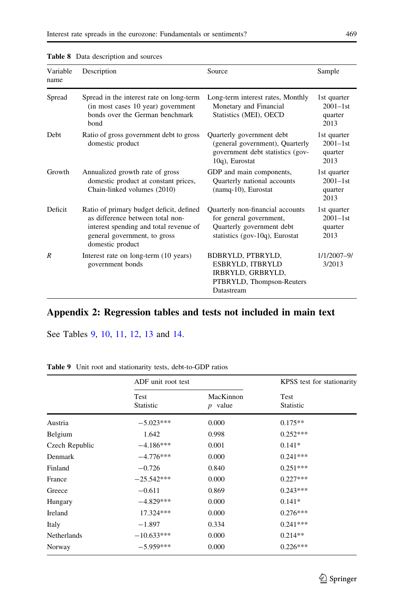| Variable<br>name | Description                                                                                                                                                                | Source                                                                                                                         | Sample                                          |
|------------------|----------------------------------------------------------------------------------------------------------------------------------------------------------------------------|--------------------------------------------------------------------------------------------------------------------------------|-------------------------------------------------|
| Spread           | Spread in the interest rate on long-term<br>(in most cases 10 year) government<br>bonds over the German benchmark<br>bond                                                  | Long-term interest rates, Monthly<br>Monetary and Financial<br>Statistics (MEI), OECD                                          | 1st quarter<br>$2001 - 1$ st<br>quarter<br>2013 |
| Debt             | Ratio of gross government debt to gross<br>domestic product                                                                                                                | Quarterly government debt<br>(general government), Quarterly<br>government debt statistics (gov-<br>10q), Eurostat             | 1st quarter<br>$2001 - 1$ st<br>quarter<br>2013 |
| Growth           | Annualized growth rate of gross<br>domestic product at constant prices,<br>Chain-linked volumes (2010)                                                                     | GDP and main components,<br>Quarterly national accounts<br>(namq-10), Eurostat                                                 | 1st quarter<br>$2001 - 1$ st<br>quarter<br>2013 |
| Deficit          | Ratio of primary budget deficit, defined<br>as difference between total non-<br>interest spending and total revenue of<br>general government, to gross<br>domestic product | Quarterly non-financial accounts<br>for general government,<br>Quarterly government debt<br>statistics (gov-10 $q$ ), Eurostat | 1st quarter<br>$2001 - 1$ st<br>quarter<br>2013 |
| R                | Interest rate on long-term (10 years)<br>government bonds                                                                                                                  | BDBRYLD, PTBRYLD,<br>ESBRYLD, ITBRYLD<br>IRBRYLD, GRBRYLD,<br>PTBRYLD, Thompson-Reuters<br>Datastream                          | 1/1/2007-9/<br>3/2013                           |

### <span id="page-20-0"></span>Table 8 Data description and sources

# Appendix 2: Regression tables and tests not included in main text

See Tables 9, [10,](#page-21-0) [11](#page-22-0), [12](#page-22-0), [13](#page-23-0) and [14](#page-24-0).

|                | ADF unit root test | KPSS test for stationarity |                          |
|----------------|--------------------|----------------------------|--------------------------|
|                | Test<br>Statistic  | MacKinnon<br>$p$ value     | Test<br><b>Statistic</b> |
| Austria        | $-5.023***$        | 0.000                      | $0.175**$                |
| Belgium        | 1.642              | 0.998                      | $0.252***$               |
| Czech Republic | $-4.186***$        | 0.001                      | $0.141*$                 |
| Denmark        | $-4.776***$        | 0.000                      | $0.241***$               |
| Finland        | $-0.726$           | 0.840                      | $0.251***$               |
| France         | $-25.542***$       | 0.000                      | $0.227***$               |
| Greece         | $-0.611$           | 0.869                      | $0.243***$               |
| Hungary        | $-4.829***$        | 0.000                      | $0.141*$                 |
| Ireland        | 17.324***          | 0.000                      | $0.276***$               |
| Italy          | $-1.897$           | 0.334                      | $0.241***$               |
| Netherlands    | $-10.633***$       | 0.000                      | $0.214**$                |
| Norway         | $-5.959***$        | 0.000                      | $0.226***$               |

Table 9 Unit root and stationarity tests, debt-to-GDP ratios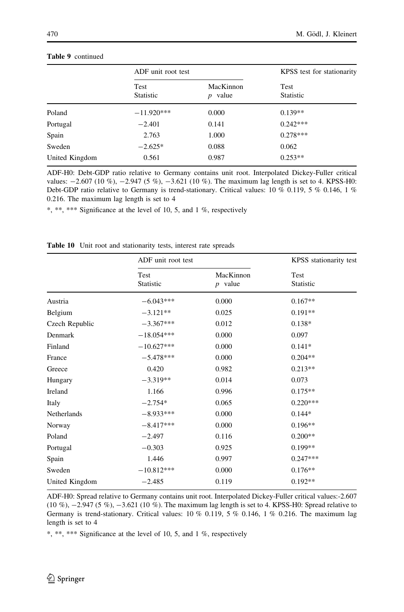|                | ADF unit root test |                         | KPSS test for stationarity |  |
|----------------|--------------------|-------------------------|----------------------------|--|
|                | Test<br>Statistic  | MacKinnon<br>value<br>D | Test<br><b>Statistic</b>   |  |
| Poland         | $-11.920***$       | 0.000                   | $0.139**$                  |  |
| Portugal       | $-2.401$           | 0.141                   | $0.242***$                 |  |
| Spain          | 2.763              | 1.000                   | $0.278***$                 |  |
| Sweden         | $-2.625*$          | 0.088                   | 0.062                      |  |
| United Kingdom | 0.561              | 0.987                   | $0.253**$                  |  |

#### <span id="page-21-0"></span>Table 9 continued

ADF-H0: Debt-GDP ratio relative to Germany contains unit root. Interpolated Dickey-Fuller critical values:  $-2.607$  (10 %),  $-2.947$  (5 %),  $-3.621$  (10 %). The maximum lag length is set to 4. KPSS-H0: Debt-GDP ratio relative to Germany is trend-stationary. Critical values: 10 % 0.119, 5 % 0.146, 1 % 0.216. The maximum lag length is set to 4

\*, \*\*, \*\*\* Significance at the level of 10, 5, and 1 %, respectively

|                | ADF unit root test |                        | KPSS stationarity test |  |
|----------------|--------------------|------------------------|------------------------|--|
|                | Test<br>Statistic  | MacKinnon<br>$p$ value | Test<br>Statistic      |  |
| Austria        | $-6.043***$        | 0.000                  | $0.167**$              |  |
| Belgium        | $-3.121**$         | 0.025                  | $0.191**$              |  |
| Czech Republic | $-3.367***$        | 0.012                  | $0.138*$               |  |
| Denmark        | $-18.054***$       | 0.000                  | 0.097                  |  |
| Finland        | $-10.627***$       | 0.000                  | $0.141*$               |  |
| France         | $-5.478***$        | 0.000                  | $0.204**$              |  |
| Greece         | 0.420              | 0.982                  | $0.213**$              |  |
| Hungary        | $-3.319**$         | 0.014                  | 0.073                  |  |
| Ireland        | 1.166              | 0.996                  | $0.175**$              |  |
| Italy          | $-2.754*$          | 0.065                  | $0.220***$             |  |
| Netherlands    | $-8.933***$        | 0.000                  | $0.144*$               |  |
| Norway         | $-8.417***$        | 0.000                  | $0.196**$              |  |
| Poland         | $-2.497$           | 0.116                  | $0.200**$              |  |
| Portugal       | $-0.303$           | 0.925                  | $0.199**$              |  |
| Spain          | 1.446              | 0.997                  | $0.247***$             |  |
| Sweden         | $-10.812***$       | 0.000                  | $0.176**$              |  |
| United Kingdom | $-2.485$           | 0.119                  | $0.192**$              |  |

Table 10 Unit root and stationarity tests, interest rate spreads

ADF-H0: Spread relative to Germany contains unit root. Interpolated Dickey-Fuller critical values:-2.607  $(10 \%)$ ,  $-2.947$  (5 %),  $-3.621$  (10 %). The maximum lag length is set to 4. KPSS-H0: Spread relative to Germany is trend-stationary. Critical values:  $10\%$  0.119,  $5\%$  0.146,  $1\%$  0.216. The maximum lag length is set to 4

\*, \*\*, \*\*\* Significance at the level of 10, 5, and 1 %, respectively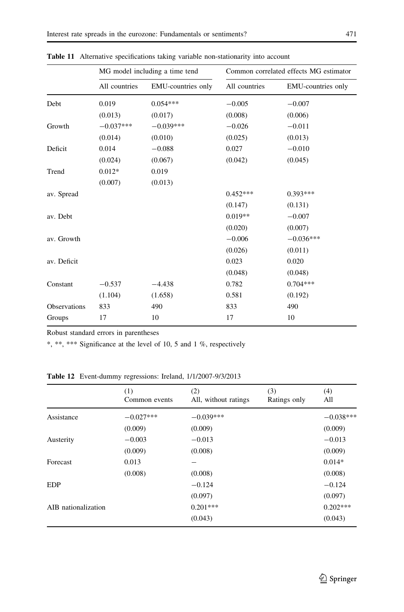|              | MG model including a time tend |                    | Common correlated effects MG estimator |                    |
|--------------|--------------------------------|--------------------|----------------------------------------|--------------------|
|              | All countries                  | EMU-countries only | All countries                          | EMU-countries only |
| Debt         | 0.019                          | $0.054***$         | $-0.005$                               | $-0.007$           |
|              | (0.013)                        | (0.017)            | (0.008)                                | (0.006)            |
| Growth       | $-0.037***$                    | $-0.039***$        | $-0.026$                               | $-0.011$           |
|              | (0.014)                        | (0.010)            | (0.025)                                | (0.013)            |
| Deficit      | 0.014                          | $-0.088$           | 0.027                                  | $-0.010$           |
|              | (0.024)                        | (0.067)            | (0.042)                                | (0.045)            |
| Trend        | $0.012*$                       | 0.019              |                                        |                    |
|              | (0.007)                        | (0.013)            |                                        |                    |
| av. Spread   |                                |                    | $0.452***$                             | $0.393***$         |
|              |                                |                    | (0.147)                                | (0.131)            |
| av. Debt     |                                |                    | $0.019**$                              | $-0.007$           |
|              |                                |                    | (0.020)                                | (0.007)            |
| av. Growth   |                                |                    | $-0.006$                               | $-0.036***$        |
|              |                                |                    | (0.026)                                | (0.011)            |
| av. Deficit  |                                |                    | 0.023                                  | 0.020              |
|              |                                |                    | (0.048)                                | (0.048)            |
| Constant     | $-0.537$                       | $-4.438$           | 0.782                                  | $0.704***$         |
|              | (1.104)                        | (1.658)            | 0.581                                  | (0.192)            |
| Observations | 833                            | 490                | 833                                    | 490                |
| Groups       | 17                             | 10                 | 17                                     | 10                 |

<span id="page-22-0"></span>Table 11 Alternative specifications taking variable non-stationarity into account

Robust standard errors in parentheses

\*, \*\*, \*\*\* Significance at the level of 10, 5 and 1 %, respectively

Table 12 Event-dummy regressions: Ireland, 1/1/2007-9/3/2013

|                     | (1)<br>Common events | (2)<br>All, without ratings | (3)<br>Ratings only | (4)<br>All  |
|---------------------|----------------------|-----------------------------|---------------------|-------------|
| Assistance          | $-0.027***$          | $-0.039***$                 |                     | $-0.038***$ |
|                     | (0.009)              | (0.009)                     |                     | (0.009)     |
| Austerity           | $-0.003$             | $-0.013$                    |                     | $-0.013$    |
|                     | (0.009)              | (0.008)                     |                     | (0.009)     |
| Forecast            | 0.013                |                             |                     | $0.014*$    |
|                     | (0.008)              | (0.008)                     |                     | (0.008)     |
| <b>EDP</b>          |                      | $-0.124$                    |                     | $-0.124$    |
|                     |                      | (0.097)                     |                     | (0.097)     |
| AIB nationalization |                      | $0.201***$                  |                     | $0.202***$  |
|                     |                      | (0.043)                     |                     | (0.043)     |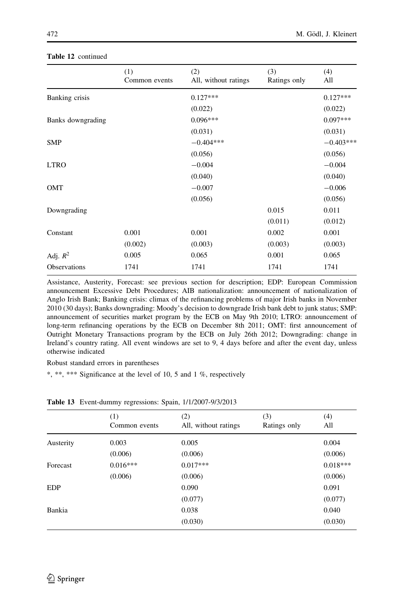|                   | (1)<br>Common events | (2)<br>All, without ratings | (3)<br>Ratings only | (4)<br>All  |
|-------------------|----------------------|-----------------------------|---------------------|-------------|
| Banking crisis    |                      | $0.127***$                  |                     | $0.127***$  |
|                   |                      | (0.022)                     |                     | (0.022)     |
| Banks downgrading |                      | $0.096***$                  |                     | $0.097***$  |
|                   |                      | (0.031)                     |                     | (0.031)     |
| <b>SMP</b>        |                      | $-0.404***$                 |                     | $-0.403***$ |
|                   |                      | (0.056)                     |                     | (0.056)     |
| <b>LTRO</b>       |                      | $-0.004$                    |                     | $-0.004$    |
|                   |                      | (0.040)                     |                     | (0.040)     |
| OMT               |                      | $-0.007$                    |                     | $-0.006$    |
|                   |                      | (0.056)                     |                     | (0.056)     |
| Downgrading       |                      |                             | 0.015               | 0.011       |
|                   |                      |                             | (0.011)             | (0.012)     |
| Constant          | 0.001                | 0.001                       | 0.002               | 0.001       |
|                   | (0.002)              | (0.003)                     | (0.003)             | (0.003)     |
| Adj. $R^2$        | 0.005                | 0.065                       | 0.001               | 0.065       |
| Observations      | 1741                 | 1741                        | 1741                | 1741        |

### <span id="page-23-0"></span>Table 12 continued

Assistance, Austerity, Forecast: see previous section for description; EDP: European Commission announcement Excessive Debt Procedures; AIB nationalization: announcement of nationalization of Anglo Irish Bank; Banking crisis: climax of the refinancing problems of major Irish banks in November 2010 (30 days); Banks downgrading: Moody's decision to downgrade Irish bank debt to junk status; SMP: announcement of securities market program by the ECB on May 9th 2010; LTRO: announcement of long-term refinancing operations by the ECB on December 8th 2011; OMT: first announcement of Outright Monetary Transactions program by the ECB on July 26th 2012; Downgrading: change in Ireland's country rating. All event windows are set to 9, 4 days before and after the event day, unless otherwise indicated

Robust standard errors in parentheses

\*, \*\*, \*\*\* Significance at the level of 10, 5 and 1 %, respectively

|            | (1)<br>Common events | (2)<br>All, without ratings | (3)<br>Ratings only | (4)<br>All |
|------------|----------------------|-----------------------------|---------------------|------------|
| Austerity  | 0.003                | 0.005                       |                     | 0.004      |
|            | (0.006)              | (0.006)                     |                     | (0.006)    |
| Forecast   | $0.016***$           | $0.017***$                  |                     | $0.018***$ |
|            | (0.006)              | (0.006)                     |                     | (0.006)    |
| <b>EDP</b> |                      | 0.090                       |                     | 0.091      |
|            |                      | (0.077)                     |                     | (0.077)    |
| Bankia     |                      | 0.038                       |                     | 0.040      |
|            |                      | (0.030)                     |                     | (0.030)    |

Table 13 Event-dummy regressions: Spain, 1/1/2007-9/3/2013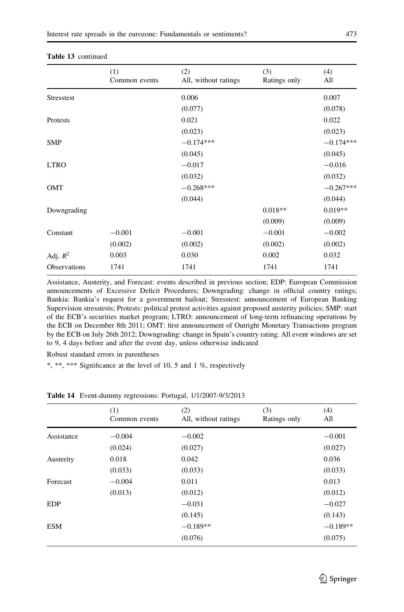|                   | (1)<br>Common events | (2)<br>All, without ratings | (3)<br>Ratings only | (4)<br>All  |
|-------------------|----------------------|-----------------------------|---------------------|-------------|
| <b>Stresstest</b> |                      | 0.006                       |                     | 0.007       |
|                   |                      | (0.077)                     |                     | (0.078)     |
| Protests          |                      | 0.021                       |                     | 0.022       |
|                   |                      | (0.023)                     |                     | (0.023)     |
| <b>SMP</b>        |                      | $-0.174***$                 |                     | $-0.174***$ |
|                   |                      | (0.045)                     |                     | (0.045)     |
| <b>LTRO</b>       |                      | $-0.017$                    |                     | $-0.016$    |
|                   |                      | (0.032)                     |                     | (0.032)     |
| <b>OMT</b>        |                      | $-0.268***$                 |                     | $-0.267***$ |
|                   |                      | (0.044)                     |                     | (0.044)     |
| Downgrading       |                      |                             | $0.018**$           | $0.019**$   |
|                   |                      |                             | (0.009)             | (0.009)     |
| Constant          | $-0.001$             | $-0.001$                    | $-0.001$            | $-0.002$    |
|                   | (0.002)              | (0.002)                     | (0.002)             | (0.002)     |
| Adj. $R^2$        | 0.003                | 0.030                       | 0.002               | 0.032       |
| Observations      | 1741                 | 1741                        | 1741                | 1741        |

### <span id="page-24-0"></span>Table 13 continued

Assistance, Austerity, and Forecast: events described in previous section; EDP: European Commission announcements of Excessive Deficit Procedures; Downgrading: change in official country ratings; Bankia: Bankia's request for a government bailout; Stresstest: announcement of European Banking Supervision stresstests; Protests: political protest activities against proposed austerity policies; SMP: start of the ECB's securities market program; LTRO: announcement of long-term refinancing operations by the ECB on December 8th 2011; OMT: first announcement of Outright Monetary Transactions program by the ECB on July 26th 2012; Downgrading: change in Spain's country rating. All event windows are set to 9, 4 days before and after the event day, unless otherwise indicated

Robust standard errors in parentheses

\*, \*\*, \*\*\* Significance at the level of 10, 5 and 1 %, respectively

|            | (1)<br>Common events | (2)<br>All, without ratings | (3)<br>Ratings only | (4)<br>All |
|------------|----------------------|-----------------------------|---------------------|------------|
| Assistance | $-0.004$             | $-0.002$                    |                     | $-0.001$   |
|            | (0.024)              | (0.027)                     |                     | (0.027)    |
| Austerity  | 0.018                | 0.042                       |                     | 0.036      |
|            | (0.033)              | (0.033)                     |                     | (0.033)    |
| Forecast   | $-0.004$             | 0.011                       |                     | 0.013      |
|            | (0.013)              | (0.012)                     |                     | (0.012)    |
| <b>EDP</b> |                      | $-0.031$                    |                     | $-0.027$   |
|            |                      | (0.145)                     |                     | (0.143)    |
| <b>ESM</b> |                      | $-0.189**$                  |                     | $-0.189**$ |
|            |                      | (0.076)                     |                     | (0.075)    |

Table 14 Event-dummy regressions: Portugal, 1/1/2007-9/3/2013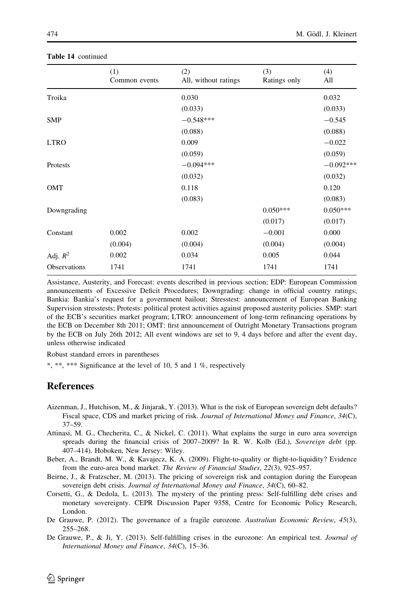|              | (1)<br>Common events | (2)<br>All, without ratings | (3)<br>Ratings only | (4)<br>All  |
|--------------|----------------------|-----------------------------|---------------------|-------------|
| Troika       |                      | 0.030                       |                     | 0.032       |
|              |                      | (0.033)                     |                     | (0.033)     |
| <b>SMP</b>   |                      | $-0.548***$                 |                     | $-0.545$    |
|              |                      | (0.088)                     |                     | (0.088)     |
| <b>LTRO</b>  |                      | 0.009                       |                     | $-0.022$    |
|              |                      | (0.059)                     |                     | (0.059)     |
| Protests     |                      | $-0.094***$                 |                     | $-0.092***$ |
|              |                      | (0.032)                     |                     | (0.032)     |
| OMT          |                      | 0.118                       |                     | 0.120       |
|              |                      | (0.083)                     |                     | (0.083)     |
| Downgrading  |                      |                             | $0.050***$          | $0.050***$  |
|              |                      |                             | (0.017)             | (0.017)     |
| Constant     | 0.002                | 0.002                       | $-0.001$            | 0.000       |
|              | (0.004)              | (0.004)                     | (0.004)             | (0.004)     |
| Adj. $R^2$   | 0.002                | 0.034                       | 0.005               | 0.044       |
| Observations | 1741                 | 1741                        | 1741                | 1741        |

#### <span id="page-25-0"></span>Table 14 continued

Assistance, Austerity, and Forecast: events described in previous section; EDP: European Commission announcements of Excessive Deficit Procedures; Downgrading: change in official country ratings; Bankia: Bankia's request for a government bailout; Stresstest: announcement of European Banking Supervision stresstests; Protests: political protest activities against proposed austerity policies. SMP: start of the ECB's securities market program; LTRO: announcement of long-term refinancing operations by the ECB on December 8th 2011; OMT: first announcement of Outright Monetary Transactions program by the ECB on July 26th 2012; All event windows are set to 9, 4 days before and after the event day, unless otherwise indicated

Robust standard errors in parentheses

\*, \*\*, \*\*\* Significance at the level of 10, 5 and 1 %, respectively

## References

- Aizenman, J., Hutchison, M., & Jinjarak, Y. (2013). What is the risk of European sovereign debt defaults? Fiscal space, CDS and market pricing of risk. Journal of International Money and Finance, 34(C), 37–59.
- Attinasi, M. G., Checherita, C., & Nickel, C. (2011). What explains the surge in euro area sovereign spreads during the financial crisis of 2007–2009? In R. W. Kolb (Ed.), Sovereign debt (pp. 407–414). Hoboken, New Jersey: Wiley.
- Beber, A., Brandt, M. W., & Kavajecz, K. A. (2009). Flight-to-quality or flight-to-liquidity? Evidence from the euro-area bond market. The Review of Financial Studies, 22(3), 925–957.
- Beirne, J., & Fratzscher, M. (2013). The pricing of sovereign risk and contagion during the European sovereign debt crisis. Journal of International Money and Finance, 34(C), 60–82.
- Corsetti, G., & Dedola, L. (2013). The mystery of the printing press: Self-fulfilling debt crises and monetary sovereignty. CEPR Discussion Paper 9358, Centre for Economic Policy Research, London.
- De Grauwe, P. (2012). The governance of a fragile eurozone. Australian Economic Review, 45(3), 255–268.
- De Grauwe, P., & Ji, Y. (2013). Self-fulfilling crises in the eurozone: An empirical test. Journal of International Money and Finance, 34(C), 15–36.